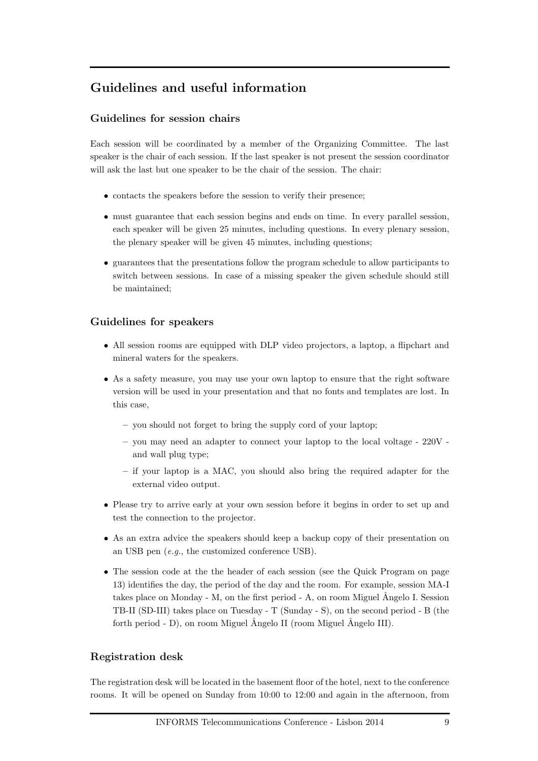### Guidelines and useful information

#### Guidelines for session chairs

Each session will be coordinated by a member of the Organizing Committee. The last speaker is the chair of each session. If the last speaker is not present the session coordinator will ask the last but one speaker to be the chair of the session. The chair:

- contacts the speakers before the session to verify their presence:
- must guarantee that each session begins and ends on time. In every parallel session, each speaker will be given 25 minutes, including questions. In every plenary session, the plenary speaker will be given 45 minutes, including questions;
- guarantees that the presentations follow the program schedule to allow participants to switch between sessions. In case of a missing speaker the given schedule should still be maintained;

#### Guidelines for speakers

- All session rooms are equipped with DLP video projectors, a laptop, a flipchart and mineral waters for the speakers.
- As a safety measure, you may use your own laptop to ensure that the right software version will be used in your presentation and that no fonts and templates are lost. In this case,
	- you should not forget to bring the supply cord of your laptop;
	- you may need an adapter to connect your laptop to the local voltage  $220V$  and wall plug type;
	- if your laptop is a MAC, you should also bring the required adapter for the external video output.
- Please try to arrive early at your own session before it begins in order to set up and test the connection to the projector.
- As an extra advice the speakers should keep a backup copy of their presentation on an USB pen (*e.g.*, the customized conference USB).
- The session code at the the header of each session (see the Quick Program on page 13) identifies the day, the period of the day and the room. For example, session MA-I takes place on Monday - M, on the first period - A, on room Miguel  $\hat{A}$ ngelo I. Session TB-II (SD-III) takes place on Tuesday - T (Sunday - S), on the second period - B (the forth period - D), on room Miguel  $\hat{A}$ ngelo II (room Miguel  $\hat{A}$ ngelo III).

#### Registration desk

The registration desk will be located in the basement floor of the hotel, next to the conference rooms. It will be opened on Sunday from 10:00 to 12:00 and again in the afternoon, from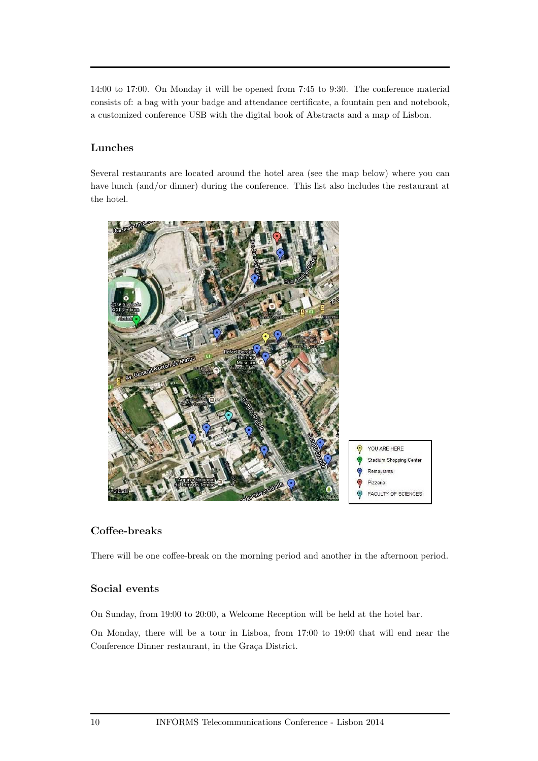14:00 to 17:00. On Monday it will be opened from 7:45 to 9:30. The conference material consists of: a bag with your badge and attendance certificate, a fountain pen and notebook, a customized conference USB with the digital book of Abstracts and a map of Lisbon.

#### Lunches

Several restaurants are located around the hotel area (see the map below) where you can have lunch (and/or dinner) during the conference. This list also includes the restaurant at the hotel.



#### Coffee-breaks

There will be one coffee-break on the morning period and another in the afternoon period.

### Social events

On Sunday, from 19:00 to 20:00, a Welcome Reception will be held at the hotel bar.

On Monday, there will be a tour in Lisboa, from 17:00 to 19:00 that will end near the Conference Dinner restaurant, in the Graça District.